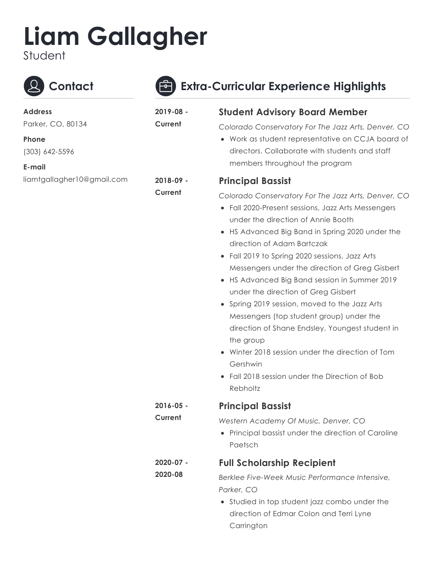## **Liam Gallagher**

Student



## **Contact Extra-Curricular Experience Highlights**

| <b>Address</b>             | 2019-08 -            | <b>Student Advisory Board Member</b>                                                                                                                                                                                                                                                                                                                                                                                                                                                                                                                                                                                                                                                                                |
|----------------------------|----------------------|---------------------------------------------------------------------------------------------------------------------------------------------------------------------------------------------------------------------------------------------------------------------------------------------------------------------------------------------------------------------------------------------------------------------------------------------------------------------------------------------------------------------------------------------------------------------------------------------------------------------------------------------------------------------------------------------------------------------|
| Parker, CO, 80134          | Current              | Colorado Conservatory For The Jazz Arts, Denver, CO                                                                                                                                                                                                                                                                                                                                                                                                                                                                                                                                                                                                                                                                 |
| Phone                      |                      | • Work as student representative on CCJA board of                                                                                                                                                                                                                                                                                                                                                                                                                                                                                                                                                                                                                                                                   |
| (303) 642-5596             |                      | directors. Collaborate with students and staff                                                                                                                                                                                                                                                                                                                                                                                                                                                                                                                                                                                                                                                                      |
| E-mail                     |                      | members throughout the program                                                                                                                                                                                                                                                                                                                                                                                                                                                                                                                                                                                                                                                                                      |
| liamtgallagher10@gmail.com | 2018-09 -            | <b>Principal Bassist</b>                                                                                                                                                                                                                                                                                                                                                                                                                                                                                                                                                                                                                                                                                            |
|                            | Current              | Colorado Conservatory For The Jazz Arts, Denver, CO<br>• Fall 2020-Present sessions, Jazz Arts Messengers<br>under the direction of Annie Booth<br>HS Advanced Big Band in Spring 2020 under the<br>direction of Adam Bartczak<br>• Fall 2019 to Spring 2020 sessions, Jazz Arts<br>Messengers under the direction of Greg Gisbert<br>• HS Advanced Big Band session in Summer 2019<br>under the direction of Greg Gisbert<br>• Spring 2019 session, moved to the Jazz Arts<br>Messengers (top student group) under the<br>direction of Shane Endsley. Youngest student in<br>the group<br>• Winter 2018 session under the direction of Tom<br>Gershwin<br>Fall 2018 session under the Direction of Bob<br>Rebholtz |
|                            | 2016-05 -            | <b>Principal Bassist</b>                                                                                                                                                                                                                                                                                                                                                                                                                                                                                                                                                                                                                                                                                            |
|                            | Current              | Western Academy Of Music, Denver, CO                                                                                                                                                                                                                                                                                                                                                                                                                                                                                                                                                                                                                                                                                |
|                            |                      | Principal bassist under the direction of Caroline<br>Paetsch                                                                                                                                                                                                                                                                                                                                                                                                                                                                                                                                                                                                                                                        |
|                            | 2020-07 -<br>2020-08 | <b>Full Scholarship Recipient</b>                                                                                                                                                                                                                                                                                                                                                                                                                                                                                                                                                                                                                                                                                   |
|                            |                      | Berklee Five-Week Music Performance Intensive,                                                                                                                                                                                                                                                                                                                                                                                                                                                                                                                                                                                                                                                                      |
|                            |                      | Parker, CO                                                                                                                                                                                                                                                                                                                                                                                                                                                                                                                                                                                                                                                                                                          |
|                            |                      | • Studied in top student jazz combo under the                                                                                                                                                                                                                                                                                                                                                                                                                                                                                                                                                                                                                                                                       |
|                            |                      | direction of Edmar Colon and Terri Lyne                                                                                                                                                                                                                                                                                                                                                                                                                                                                                                                                                                                                                                                                             |

**Carrington**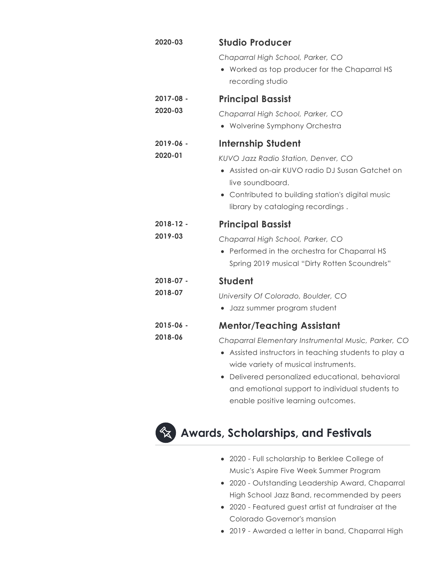| 2020-03              | <b>Studio Producer</b>                                                                                                                                                                                         |
|----------------------|----------------------------------------------------------------------------------------------------------------------------------------------------------------------------------------------------------------|
|                      | Chaparral High School, Parker, CO<br>Worked as top producer for the Chaparral HS<br>recording studio                                                                                                           |
| 2017-08 -<br>2020-03 | <b>Principal Bassist</b>                                                                                                                                                                                       |
|                      | Chaparral High School, Parker, CO<br>• Wolverine Symphony Orchestra                                                                                                                                            |
| 2019-06 -            | <b>Internship Student</b>                                                                                                                                                                                      |
| 2020-01              | KUVO Jazz Radio Station, Denver, CO<br>Assisted on-air KUVO radio DJ Susan Gatchet on<br>$\bullet$<br>live soundboard.<br>Contributed to building station's digital music<br>library by cataloging recordings. |
| $2018 - 12$ -        | <b>Principal Bassist</b>                                                                                                                                                                                       |
| 2019-03              | Chaparral High School, Parker, CO<br>Performed in the orchestra for Chaparral HS<br>Spring 2019 musical "Dirty Rotten Scoundrels"                                                                              |
| $2018 - 07 -$        | <b>Student</b>                                                                                                                                                                                                 |
| 2018-07              | University Of Colorado, Boulder, CO<br>• Jazz summer program student                                                                                                                                           |
| $2015 - 06 -$        | <b>Mentor/Teaching Assistant</b>                                                                                                                                                                               |
| 2018-06              | Chaparral Elementary Instrumental Music, Parker, CO<br>Assisted instructors in teaching students to play a<br>wide variety of musical instruments.<br>Delivered personalized educational leabourced            |

Delivered personalized educational, behavioral and emotional support to individual students to enable positive learning outcomes.



## $\mathbf{\hat{x}}$  Awards, Scholarships, and Festivals

- 2020 Full scholarship to Berklee College of Music's Aspire Five Week Summer Program
- 2020 Outstanding Leadership Award, Chaparral High School Jazz Band, recommended by peers
- 2020 Featured guest artist at fundraiser at the Colorado Governor's mansion
- 2019 Awarded a letter in band, Chaparral High